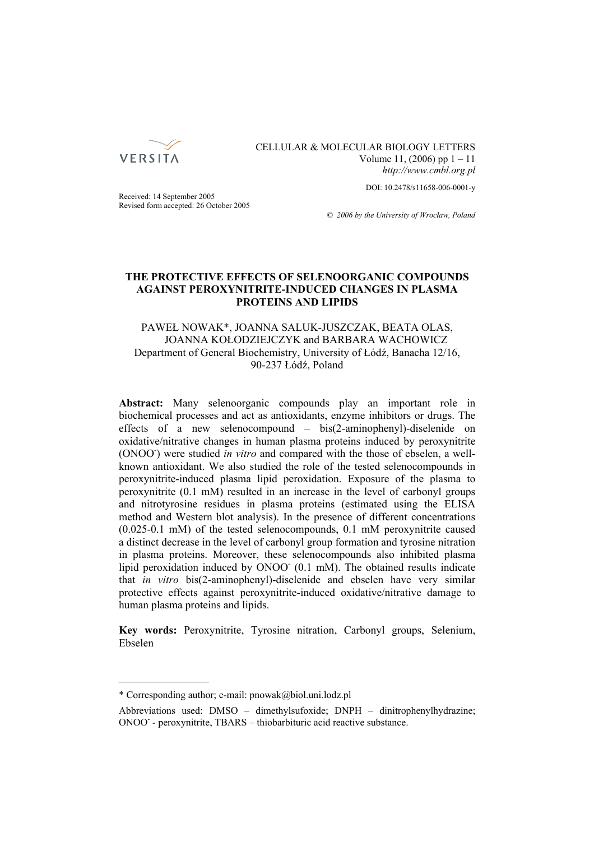

CELLULAR & MOLECULAR BIOLOGY LETTERS Volume 11, (2006) pp 1 – 11 *http://www.cmbl.org.pl*

DOI: 10.2478/s11658-006-0001-y

Received: 14 September 2005 Revised form accepted: 26 October 2005

*© 2006 by the University of Wrocław, Poland*

## **THE PROTECTIVE EFFECTS OF SELENOORGANIC COMPOUNDS AGAINST PEROXYNITRITE-INDUCED CHANGES IN PLASMA PROTEINS AND LIPIDS**

# PAWEŁ NOWAK\*, JOANNA SALUK-JUSZCZAK, BEATA OLAS, JOANNA KOŁODZIEJCZYK and BARBARA WACHOWICZ Department of General Biochemistry, University of Łódź, Banacha 12/16, 90-237 Łódź, Poland

**Abstract:** Many selenoorganic compounds play an important role in biochemical processes and act as antioxidants, enzyme inhibitors or drugs. The effects of a new selenocompound – bis(2-aminophenyl)-diselenide on oxidative/nitrative changes in human plasma proteins induced by peroxynitrite (ONOO<sup>-</sup>) were studied *in vitro* and compared with the those of ebselen, a wellknown antioxidant. We also studied the role of the tested selenocompounds in peroxynitrite-induced plasma lipid peroxidation. Exposure of the plasma to peroxynitrite (0.1 mM) resulted in an increase in the level of carbonyl groups and nitrotyrosine residues in plasma proteins (estimated using the ELISA method and Western blot analysis). In the presence of different concentrations (0.025-0.1 mM) of the tested selenocompounds, 0.1 mM peroxynitrite caused a distinct decrease in the level of carbonyl group formation and tyrosine nitration in plasma proteins. Moreover, these selenocompounds also inhibited plasma lipid peroxidation induced by ONOO (0.1 mM). The obtained results indicate that *in vitro* bis(2-aminophenyl)-diselenide and ebselen have very similar protective effects against peroxynitrite-induced oxidative/nitrative damage to human plasma proteins and lipids.

**Key words:** Peroxynitrite, Tyrosine nitration, Carbonyl groups, Selenium, Ebselen

<sup>\*</sup> Corresponding author; e-mail: pnowak@biol.uni.lodz.pl

Abbreviations used: DMSO – dimethylsufoxide; DNPH – dinitrophenylhydrazine; ONOO- - peroxynitrite, TBARS – thiobarbituric acid reactive substance.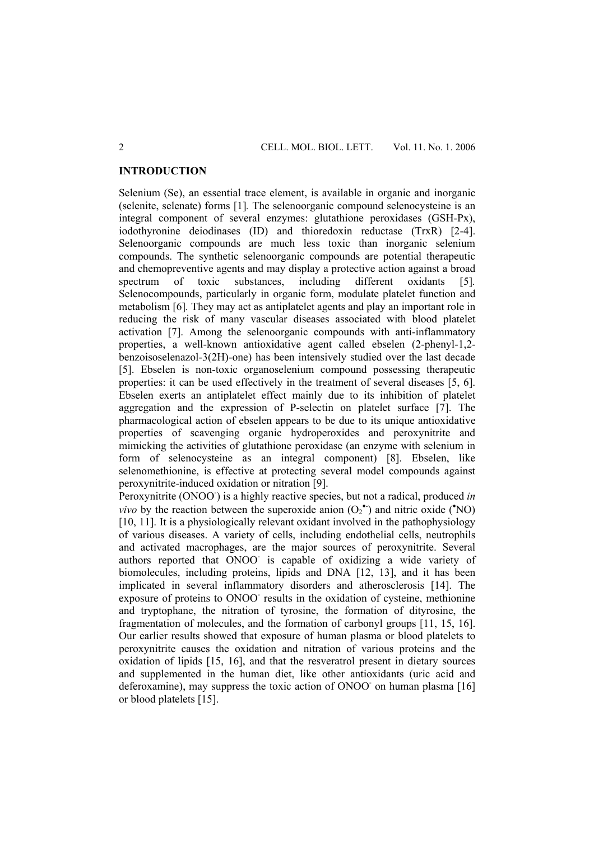### **INTRODUCTION**

Selenium (Se), an essential trace element, is available in organic and inorganic (selenite, selenate) forms [1]*.* The selenoorganic compound selenocysteine is an integral component of several enzymes: glutathione peroxidases (GSH-Px), iodothyronine deiodinases (ID) and thioredoxin reductase (TrxR) [2-4]. Selenoorganic compounds are much less toxic than inorganic selenium compounds. The synthetic selenoorganic compounds are potential therapeutic and chemopreventive agents and may display a protective action against a broad spectrum of toxic substances, including different oxidants [5]*.* Selenocompounds, particularly in organic form, modulate platelet function and metabolism [6]*.* They may act as antiplatelet agents and play an important role in reducing the risk of many vascular diseases associated with blood platelet activation [7]. Among the selenoorganic compounds with anti-inflammatory properties, a well-known antioxidative agent called ebselen (2-phenyl-1,2 benzoisoselenazol-3(2H)-one) has been intensively studied over the last decade [5]. Ebselen is non-toxic organoselenium compound possessing therapeutic properties: it can be used effectively in the treatment of several diseases [5, 6]. Ebselen exerts an antiplatelet effect mainly due to its inhibition of platelet aggregation and the expression of P-selectin on platelet surface [7]. The pharmacological action of ebselen appears to be due to its unique antioxidative properties of scavenging organic hydroperoxides and peroxynitrite and mimicking the activities of glutathione peroxidase (an enzyme with selenium in form of selenocysteine as an integral component) [8]. Ebselen, like selenomethionine, is effective at protecting several model compounds against peroxynitrite-induced oxidation or nitration [9].

Peroxynitrite (ONOO<sup>-</sup>) is a highly reactive species, but not a radical, produced *in vivo* by the reaction between the superoxide anion  $(O_2^{\bullet})$  and nitric oxide ( $^{\bullet}$ NO) [10, 11]. It is a physiologically relevant oxidant involved in the pathophysiology of various diseases. A variety of cells, including endothelial cells, neutrophils and activated macrophages, are the major sources of peroxynitrite. Several authors reported that ONOO- is capable of oxidizing a wide variety of biomolecules, including proteins, lipids and DNA [12, 13], and it has been implicated in several inflammatory disorders and atherosclerosis [14]. The exposure of proteins to ONOO results in the oxidation of cysteine, methionine and tryptophane, the nitration of tyrosine, the formation of dityrosine, the fragmentation of molecules, and the formation of carbonyl groups [11, 15, 16]. Our earlier results showed that exposure of human plasma or blood platelets to peroxynitrite causes the oxidation and nitration of various proteins and the oxidation of lipids [15, 16], and that the resveratrol present in dietary sources and supplemented in the human diet, like other antioxidants (uric acid and deferoxamine), may suppress the toxic action of ONOO on human plasma [16] or blood platelets [15].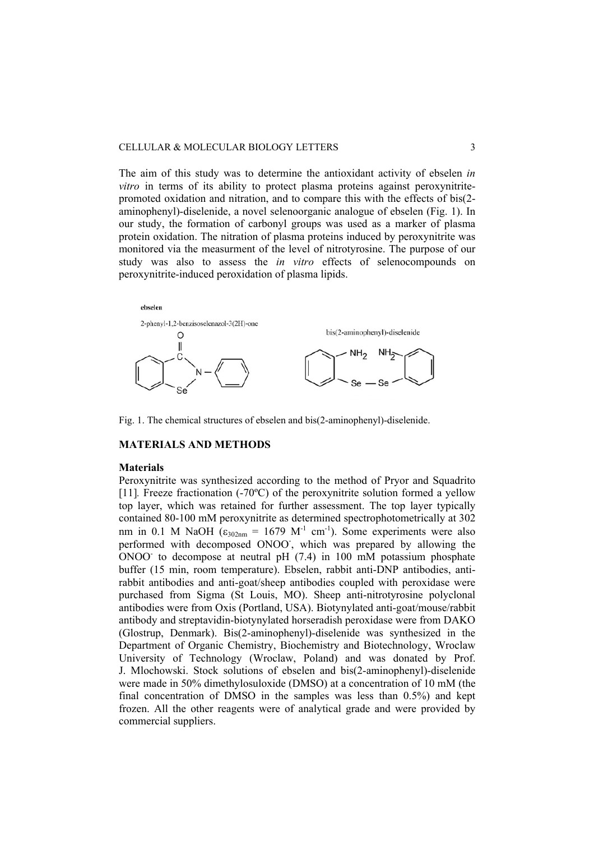#### CELLULAR & MOLECULAR BIOLOGY LETTERS 3

The aim of this study was to determine the antioxidant activity of ebselen *in vitro* in terms of its ability to protect plasma proteins against peroxynitritepromoted oxidation and nitration, and to compare this with the effects of bis(2 aminophenyl)-diselenide, a novel selenoorganic analogue of ebselen (Fig. 1). In our study, the formation of carbonyl groups was used as a marker of plasma protein oxidation. The nitration of plasma proteins induced by peroxynitrite was monitored via the measurment of the level of nitrotyrosine. The purpose of our study was also to assess the *in vitro* effects of selenocompounds on peroxynitrite-induced peroxidation of plasma lipids.



Fig. 1. The chemical structures of ebselen and bis(2-aminophenyl)-diselenide.

## **MATERIALS AND METHODS**

#### **Materials**

Peroxynitrite was synthesized according to the method of Pryor and Squadrito [11]*.* Freeze fractionation (-70ºC) of the peroxynitrite solution formed a yellow top layer, which was retained for further assessment. The top layer typically contained 80-100 mM peroxynitrite as determined spectrophotometrically at 302 nm in 0.1 M NaOH  $\left(\epsilon_{302nm} = 1679 \text{ M}^{-1} \text{ cm}^{-1}\right)$ . Some experiments were also performed with decomposed ONOO, which was prepared by allowing the  $\overline{ONOO}$  to decompose at neutral pH (7.4) in 100 mM potassium phosphate buffer (15 min, room temperature). Ebselen, rabbit anti-DNP antibodies, antirabbit antibodies and anti-goat/sheep antibodies coupled with peroxidase were purchased from Sigma (St Louis, MO). Sheep anti-nitrotyrosine polyclonal antibodies were from Oxis (Portland, USA). Biotynylated anti-goat/mouse/rabbit antibody and streptavidin-biotynylated horseradish peroxidase were from DAKO (Glostrup, Denmark). Bis(2-aminophenyl)-diselenide was synthesized in the Department of Organic Chemistry, Biochemistry and Biotechnology, Wroclaw University of Technology (Wroclaw, Poland) and was donated by Prof. J. Mlochowski. Stock solutions of ebselen and bis(2-aminophenyl)-diselenide were made in 50% dimethylosuloxide (DMSO) at a concentration of 10 mM (the final concentration of DMSO in the samples was less than 0.5%) and kept frozen. All the other reagents were of analytical grade and were provided by commercial suppliers.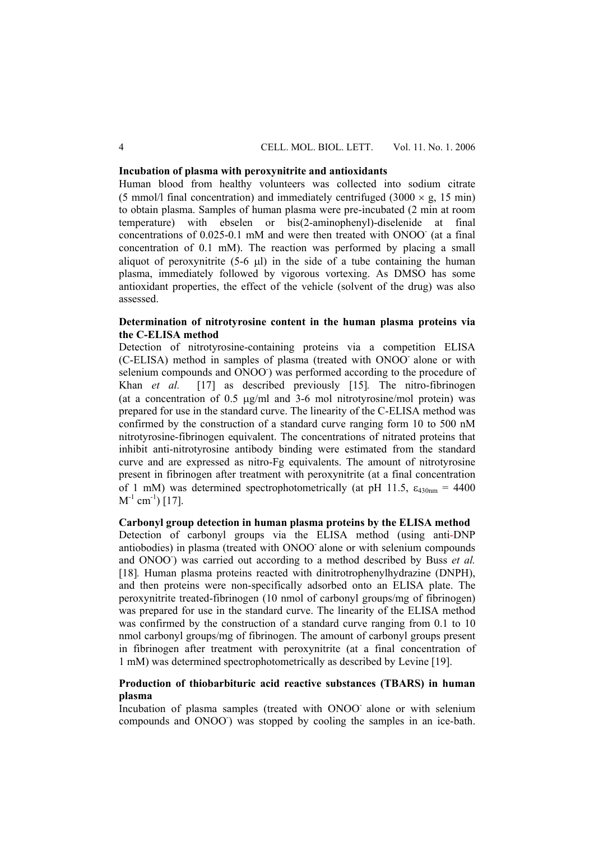## **Incubation of plasma with peroxynitrite and antioxidants**

Human blood from healthy volunteers was collected into sodium citrate (5 mmol/l final concentration) and immediately centrifuged (3000  $\times$  g, 15 min) to obtain plasma. Samples of human plasma were pre-incubated (2 min at room temperature) with ebselen or bis(2-aminophenyl)-diselenide at final concentrations of 0.025-0.1 mM and were then treated with ONOO (at a final concentration of 0.1 mM). The reaction was performed by placing a small aliquot of peroxynitrite (5-6 μl) in the side of a tube containing the human plasma, immediately followed by vigorous vortexing. As DMSO has some antioxidant properties, the effect of the vehicle (solvent of the drug) was also assessed.

## **Determination of nitrotyrosine content in the human plasma proteins via the C-ELISA method**

Detection of nitrotyrosine-containing proteins via a competition ELISA (C-ELISA) method in samples of plasma (treated with ONOO- alone or with selenium compounds and ONOO ) was performed according to the procedure of Khan *et al.* [17] as described previously [15]*.* The nitro-fibrinogen (at a concentration of  $0.5 \mu g/ml$  and  $3-6 \mu ml$  nitrotyrosine/mol protein) was prepared for use in the standard curve. The linearity of the C-ELISA method was confirmed by the construction of a standard curve ranging form 10 to 500 nM nitrotyrosine-fibrinogen equivalent. The concentrations of nitrated proteins that inhibit anti-nitrotyrosine antibody binding were estimated from the standard curve and are expressed as nitro-Fg equivalents. The amount of nitrotyrosine present in fibrinogen after treatment with peroxynitrite (at a final concentration of 1 mM) was determined spectrophotometrically (at pH 11.5,  $\varepsilon_{430nm} = 4400$  $M^{-1}$  cm<sup>-1</sup>) [17].

## **Carbonyl group detection in human plasma proteins by the ELISA method**

Detection of carbonyl groups via the ELISA method (using anti-DNP antiobodies) in plasma (treated with ONOO- alone or with selenium compounds and ONOO<sup>-</sup>) was carried out according to a method described by Buss *et al.* [18]. Human plasma proteins reacted with dinitrotrophenylhydrazine (DNPH), and then proteins were non-specifically adsorbed onto an ELISA plate. The peroxynitrite treated-fibrinogen (10 nmol of carbonyl groups/mg of fibrinogen) was prepared for use in the standard curve. The linearity of the ELISA method was confirmed by the construction of a standard curve ranging from 0.1 to 10 nmol carbonyl groups/mg of fibrinogen. The amount of carbonyl groups present in fibrinogen after treatment with peroxynitrite (at a final concentration of 1 mM) was determined spectrophotometrically as described by Levine [19].

# **Production of thiobarbituric acid reactive substances (TBARS) in human plasma**

Incubation of plasma samples (treated with ONOO- alone or with selenium compounds and ONOO) was stopped by cooling the samples in an ice-bath.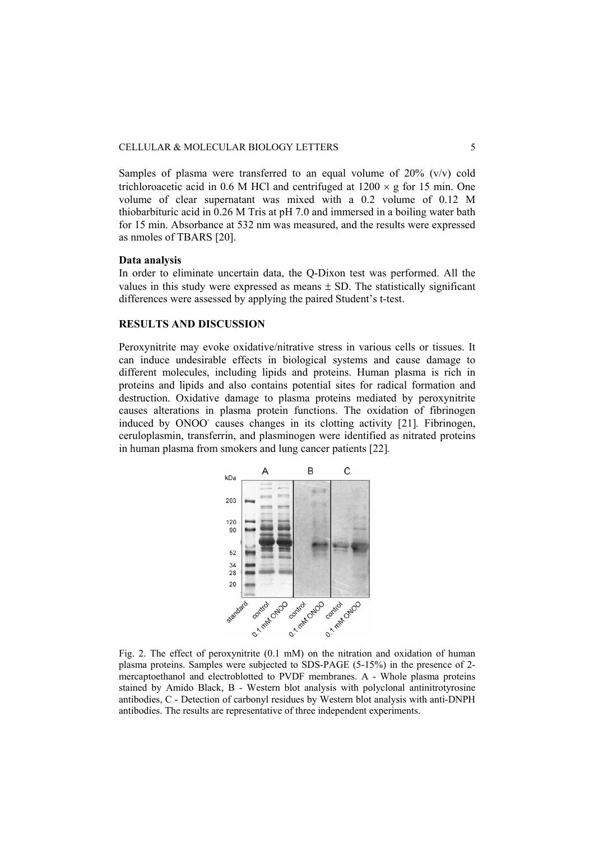Samples of plasma were transferred to an equal volume of  $20\%$  (v/v) cold trichloroacetic acid in 0.6 M HCl and centrifuged at  $1200 \times g$  for 15 min. One volume of clear supernatant was mixed with a 0.2 volume of 0.12 M thiobarbituric acid in 0.26 M Tris at pH 7.0 and immersed in a boiling water bath for 15 min. Absorbance at 532 nm was measured, and the results were expressed as nmoles of TBARS [20].

#### **Data analysis**

In order to eliminate uncertain data, the Q-Dixon test was performed. All the values in this study were expressed as means  $\pm$  SD. The statistically significant differences were assessed by applying the paired Student's t-test.

### **RESULTS AND DISCUSSION**

Peroxynitrite may evoke oxidative/nitrative stress in various cells or tissues. It can induce undesirable effects in biological systems and cause damage to different molecules, including lipids and proteins. Human plasma is rich in proteins and lipids and also contains potential sites for radical formation and destruction. Oxidative damage to plasma proteins mediated by peroxynitrite causes alterations in plasma protein functions. The oxidation of fibrinogen induced by ONOO- causes changes in its clotting activity [21]*.* Fibrinogen, ceruloplasmin, transferrin, and plasminogen were identified as nitrated proteins in human plasma from smokers and lung cancer patients [22]*.*



Fig. 2. The effect of peroxynitrite (0.1 mM) on the nitration and oxidation of human plasma proteins. Samples were subjected to SDS-PAGE (5-15%) in the presence of 2 mercaptoethanol and electroblotted to PVDF membranes. A - Whole plasma proteins stained by Amido Black, B - Western blot analysis with polyclonal antinitrotyrosine antibodies, C - Detection of carbonyl residues by Western blot analysis with anti-DNPH antibodies. The results are representative of three independent experiments.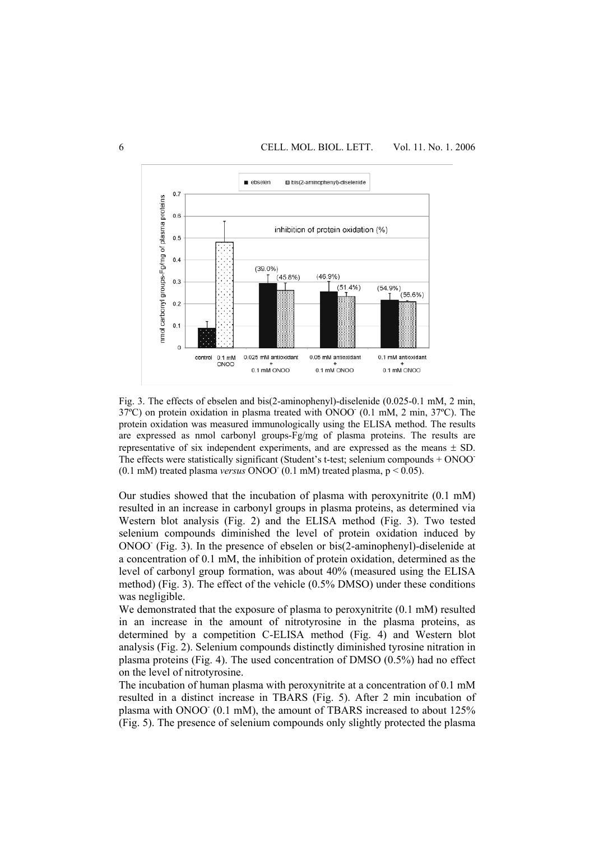

Fig. 3. The effects of ebselen and bis(2-aminophenyl)-diselenide (0.025-0.1 mM, 2 min, 37°C) on protein oxidation in plasma treated with ONOO (0.1 mM, 2 min, 37°C). The protein oxidation was measured immunologically using the ELISA method. The results are expressed as nmol carbonyl groups-Fg/mg of plasma proteins. The results are representative of six independent experiments, and are expressed as the means  $\pm$  SD. The effects were statistically significant (Student's t-test; selenium compounds + ONOO-  $(0.1 \text{ mM})$  treated plasma *versus* ONOO  $(0.1 \text{ mM})$  treated plasma,  $p < 0.05$ ).

Our studies showed that the incubation of plasma with peroxynitrite (0.1 mM) resulted in an increase in carbonyl groups in plasma proteins, as determined via Western blot analysis (Fig. 2) and the ELISA method (Fig. 3). Two tested selenium compounds diminished the level of protein oxidation induced by  $ONOO^{\dagger}$  (Fig. 3). In the presence of ebselen or bis(2-aminophenyl)-diselenide at a concentration of 0.1 mM, the inhibition of protein oxidation, determined as the level of carbonyl group formation, was about 40% (measured using the ELISA method) (Fig. 3). The effect of the vehicle (0.5% DMSO) under these conditions was negligible.

We demonstrated that the exposure of plasma to peroxynitrite (0.1 mM) resulted in an increase in the amount of nitrotyrosine in the plasma proteins, as determined by a competition C-ELISA method (Fig. 4) and Western blot analysis (Fig. 2). Selenium compounds distinctly diminished tyrosine nitration in plasma proteins (Fig. 4). The used concentration of DMSO (0.5%) had no effect on the level of nitrotyrosine.

The incubation of human plasma with peroxynitrite at a concentration of 0.1 mM resulted in a distinct increase in TBARS (Fig. 5). After 2 min incubation of plasma with ONOO (0.1 mM), the amount of TBARS increased to about 125% (Fig. 5). The presence of selenium compounds only slightly protected the plasma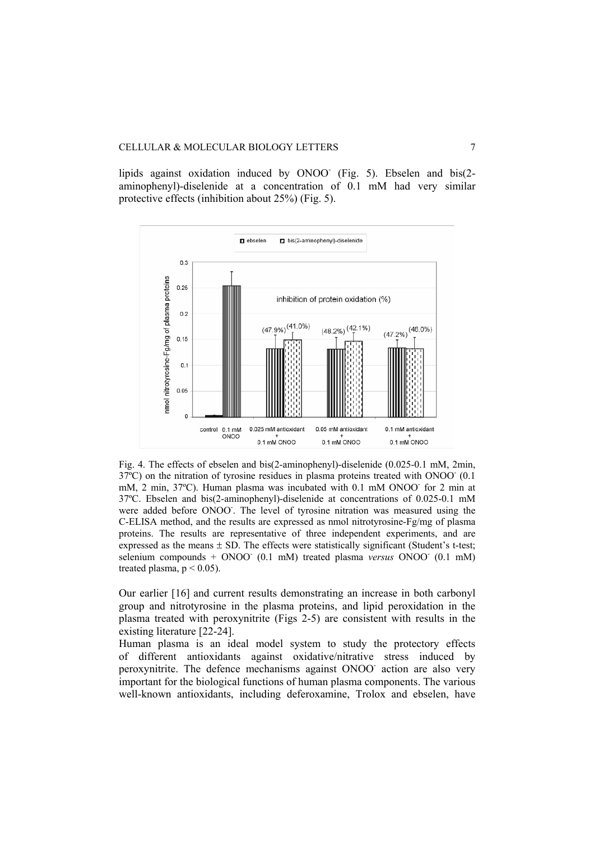lipids against oxidation induced by ONOO (Fig. 5). Ebselen and bis(2aminophenyl)-diselenide at a concentration of 0.1 mM had very similar protective effects (inhibition about 25%) (Fig. 5).



Fig. 4. The effects of ebselen and bis(2-aminophenyl)-diselenide (0.025-0.1 mM, 2min,  $37^{\circ}$ C) on the nitration of tyrosine residues in plasma proteins treated with ONOO $^{\circ}$  (0.1) mM, 2 min, 37°C). Human plasma was incubated with 0.1 mM ONOO for 2 min at 37ºC. Ebselen and bis(2-aminophenyl)-diselenide at concentrations of 0.025-0.1 mM were added before ONOO. The level of tyrosine nitration was measured using the C-ELISA method, and the results are expressed as nmol nitrotyrosine-Fg/mg of plasma proteins. The results are representative of three independent experiments, and are expressed as the means  $\pm$  SD. The effects were statistically significant (Student's t-test; selenium compounds + ONOO<sup>-</sup> (0.1 mM) treated plasma *versus* ONOO<sup>-</sup> (0.1 mM) treated plasma,  $p < 0.05$ ).

Our earlier [16] and current results demonstrating an increase in both carbonyl group and nitrotyrosine in the plasma proteins, and lipid peroxidation in the plasma treated with peroxynitrite (Figs 2-5) are consistent with results in the existing literature [22-24].

Human plasma is an ideal model system to study the protectory effects of different antioxidants against oxidative/nitrative stress induced by peroxynitrite. The defence mechanisms against ONOO action are also very important for the biological functions of human plasma components. The various well-known antioxidants, including deferoxamine, Trolox and ebselen, have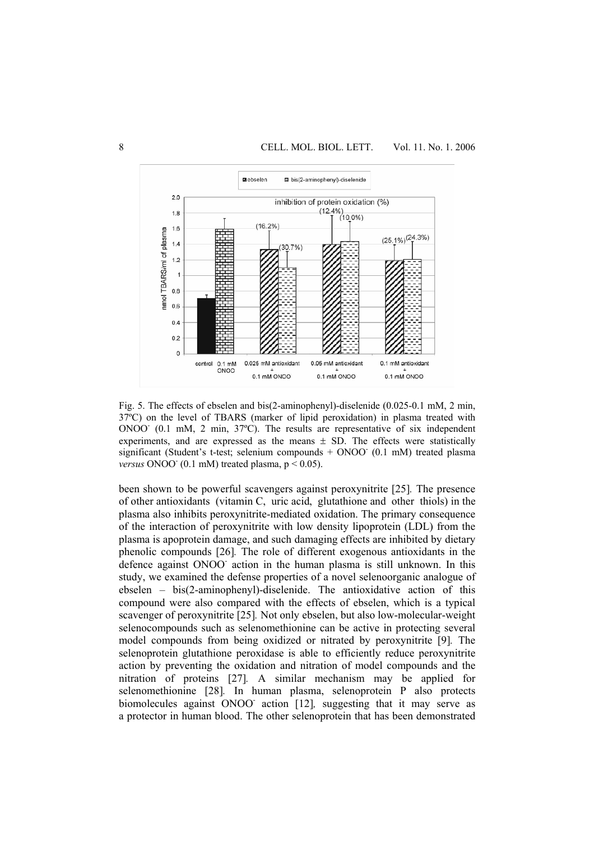

Fig. 5. The effects of ebselen and bis(2-aminophenyl)-diselenide (0.025-0.1 mM, 2 min, 37ºC) on the level of TBARS (marker of lipid peroxidation) in plasma treated with ONOO<sup>-</sup> (0.1 mM, 2 min, 37°C). The results are representative of six independent experiments, and are expressed as the means  $\pm$  SD. The effects were statistically significant (Student's t-test; selenium compounds + ONOO (0.1 mM) treated plasma *versus* ONOO<sup> $\cdot$ </sup> (0.1 mM) treated plasma,  $p < 0.05$ ).

been shown to be powerful scavengers against peroxynitrite [25]*.* The presence of other antioxidants (vitamin C, uric acid, glutathione and other thiols) in the plasma also inhibits peroxynitrite-mediated oxidation. The primary consequence of the interaction of peroxynitrite with low density lipoprotein (LDL) from the plasma is apoprotein damage, and such damaging effects are inhibited by dietary phenolic compounds [26]*.* The role of different exogenous antioxidants in the defence against ONOO<sup>-</sup> action in the human plasma is still unknown. In this study, we examined the defense properties of a novel selenoorganic analogue of ebselen – bis(2-aminophenyl)-diselenide. The antioxidative action of this compound were also compared with the effects of ebselen, which is a typical scavenger of peroxynitrite [25]*.* Not only ebselen, but also low-molecular-weight selenocompounds such as selenomethionine can be active in protecting several model compounds from being oxidized or nitrated by peroxynitrite [9]*.* The selenoprotein glutathione peroxidase is able to efficiently reduce peroxynitrite action by preventing the oxidation and nitration of model compounds and the nitration of proteins [27]*.* A similar mechanism may be applied for selenomethionine [28]*.* In human plasma, selenoprotein P also protects biomolecules against ONOO- action [12]*,* suggesting that it may serve as a protector in human blood. The other selenoprotein that has been demonstrated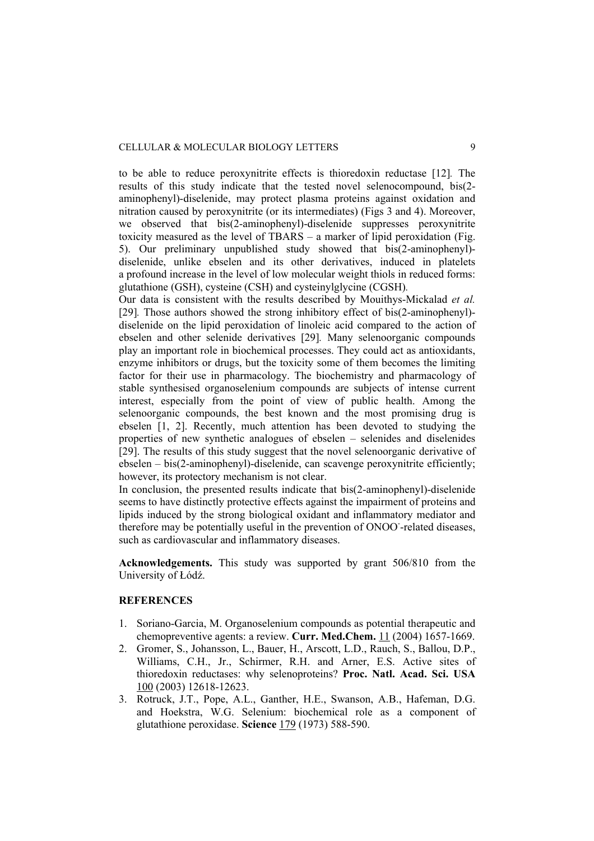to be able to reduce peroxynitrite effects is thioredoxin reductase [12]*.* The results of this study indicate that the tested novel selenocompound, bis(2 aminophenyl)-diselenide, may protect plasma proteins against oxidation and nitration caused by peroxynitrite (or its intermediates) (Figs 3 and 4). Moreover, we observed that bis(2-aminophenyl)-diselenide suppresses peroxynitrite toxicity measured as the level of TBARS – a marker of lipid peroxidation (Fig. 5). Our preliminary unpublished study showed that bis(2-aminophenyl) diselenide, unlike ebselen and its other derivatives, induced in platelets a profound increase in the level of low molecular weight thiols in reduced forms: glutathione (GSH), cysteine (CSH) and cysteinylglycine (CGSH)*.*

Our data is consistent with the results described by Mouithys-Mickalad *et al.* [29]*.* Those authors showed the strong inhibitory effect of bis(2-aminophenyl) diselenide on the lipid peroxidation of linoleic acid compared to the action of ebselen and other selenide derivatives [29]*.* Many selenoorganic compounds play an important role in biochemical processes. They could act as antioxidants, enzyme inhibitors or drugs, but the toxicity some of them becomes the limiting factor for their use in pharmacology. The biochemistry and pharmacology of stable synthesised organoselenium compounds are subjects of intense current interest, especially from the point of view of public health. Among the selenoorganic compounds, the best known and the most promising drug is ebselen [1, 2]. Recently, much attention has been devoted to studying the properties of new synthetic analogues of ebselen – selenides and diselenides [29]. The results of this study suggest that the novel selenoorganic derivative of ebselen – bis(2-aminophenyl)-diselenide, can scavenge peroxynitrite efficiently; however, its protectory mechanism is not clear.

In conclusion, the presented results indicate that bis(2-aminophenyl)-diselenide seems to have distinctly protective effects against the impairment of proteins and lipids induced by the strong biological oxidant and inflammatory mediator and therefore may be potentially useful in the prevention of ONOO-related diseases, such as cardiovascular and inflammatory diseases.

**Acknowledgements.** This study was supported by grant 506/810 from the University of Łódź.

### **REFERENCES**

- 1. Soriano-Garcia, M. Organoselenium compounds as potential therapeutic and chemopreventive agents: a review. **Curr. Med.Chem.** 11 (2004) 1657-1669.
- 2. Gromer, S., Johansson, L., Bauer, H., Arscott, L.D., Rauch, S., Ballou, D.P., Williams, C.H., Jr., Schirmer, R.H. and Arner, E.S. Active sites of thioredoxin reductases: why selenoproteins? **Proc. Natl. Acad. Sci. USA**  100 (2003) 12618-12623.
- 3. Rotruck, J.T., Pope, A.L., Ganther, H.E., Swanson, A.B., Hafeman, D.G. and Hoekstra, W.G. Selenium: biochemical role as a component of glutathione peroxidase. **Science** 179 (1973) 588-590.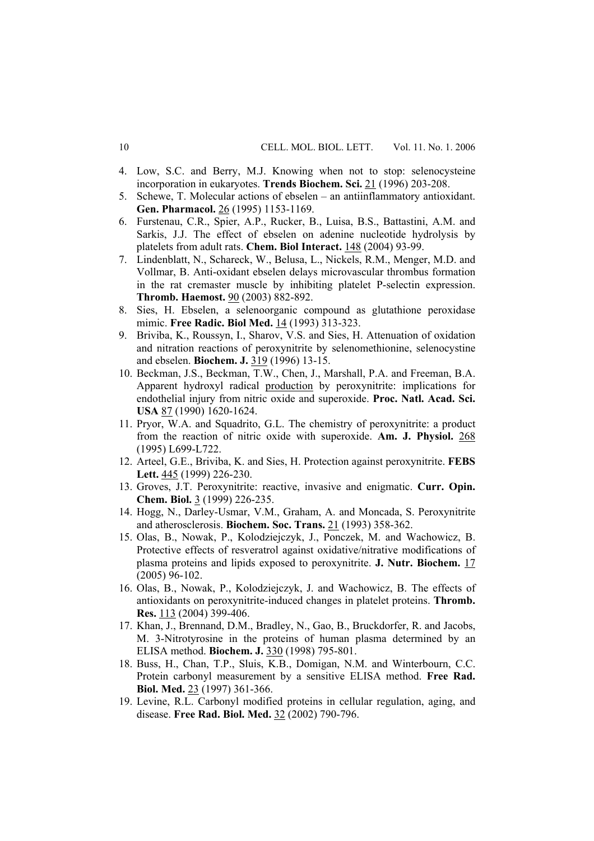- 4. Low, S.C. and Berry, M.J. Knowing when not to stop: selenocysteine incorporation in eukaryotes. **Trends Biochem. Sci.** 21 (1996) 203-208.
- 5. Schewe, T. Molecular actions of ebselen an antiinflammatory antioxidant. Gen. Pharmacol. 26 (1995) 1153-1169.
- 6. Furstenau, C.R., Spier, A.P., Rucker, B., Luisa, B.S., Battastini, A.M. and Sarkis, J.J. The effect of ebselen on adenine nucleotide hydrolysis by platelets from adult rats. **Chem. Biol Interact.** 148 (2004) 93-99.
- 7. Lindenblatt, N., Schareck, W., Belusa, L., Nickels, R.M., Menger, M.D. and Vollmar, B. Anti-oxidant ebselen delays microvascular thrombus formation in the rat cremaster muscle by inhibiting platelet P-selectin expression. **Thromb. Haemost.** 90 (2003) 882-892.
- 8. Sies, H. Ebselen, a selenoorganic compound as glutathione peroxidase mimic. **Free Radic. Biol Med.** 14 (1993) 313-323.
- 9. Briviba, K., Roussyn, I., Sharov, V.S. and Sies, H. Attenuation of oxidation and nitration reactions of peroxynitrite by selenomethionine, selenocystine and ebselen. **Biochem. J.** 319 (1996) 13-15.
- 10. Beckman, J.S., Beckman, T.W., Chen, J., Marshall, P.A. and Freeman, B.A. Apparent hydroxyl radical production by peroxynitrite: implications for endothelial injury from nitric oxide and superoxide. **Proc. Natl. Acad. Sci. USA** 87 (1990) 1620-1624.
- 11. Pryor, W.A. and Squadrito, G.L. The chemistry of peroxynitrite: a product from the reaction of nitric oxide with superoxide. **Am. J. Physiol.** 268 (1995) L699-L722.
- 12. Arteel, G.E., Briviba, K. and Sies, H. Protection against peroxynitrite. **FEBS Lett.** 445 (1999) 226-230.
- 13. Groves, J.T. Peroxynitrite: reactive, invasive and enigmatic. **Curr. Opin. Chem. Biol.** 3 (1999) 226-235.
- 14. Hogg, N., Darley-Usmar, V.M., Graham, A. and Moncada, S. Peroxynitrite and atherosclerosis. **Biochem. Soc. Trans.** 21 (1993) 358-362.
- 15. Olas, B., Nowak, P., Kolodziejczyk, J., Ponczek, M. and Wachowicz, B. Protective effects of resveratrol against oxidative/nitrative modifications of plasma proteins and lipids exposed to peroxynitrite. **J. Nutr. Biochem.** 17 (2005) 96-102.
- 16. Olas, B., Nowak, P., Kolodziejczyk, J. and Wachowicz, B. The effects of antioxidants on peroxynitrite-induced changes in platelet proteins. **Thromb. Res.** 113 (2004) 399-406.
- 17. Khan, J., Brennand, D.M., Bradley, N., Gao, B., Bruckdorfer, R. and Jacobs, M. 3-Nitrotyrosine in the proteins of human plasma determined by an ELISA method. **Biochem. J.** 330 (1998) 795-801.
- 18. Buss, H., Chan, T.P., Sluis, K.B., Domigan, N.M. and Winterbourn, C.C. Protein carbonyl measurement by a sensitive ELISA method. **Free Rad. Biol. Med.** 23 (1997) 361-366.
- 19. Levine, R.L. Carbonyl modified proteins in cellular regulation, aging, and disease. **Free Rad. Biol. Med.** 32 (2002) 790-796.